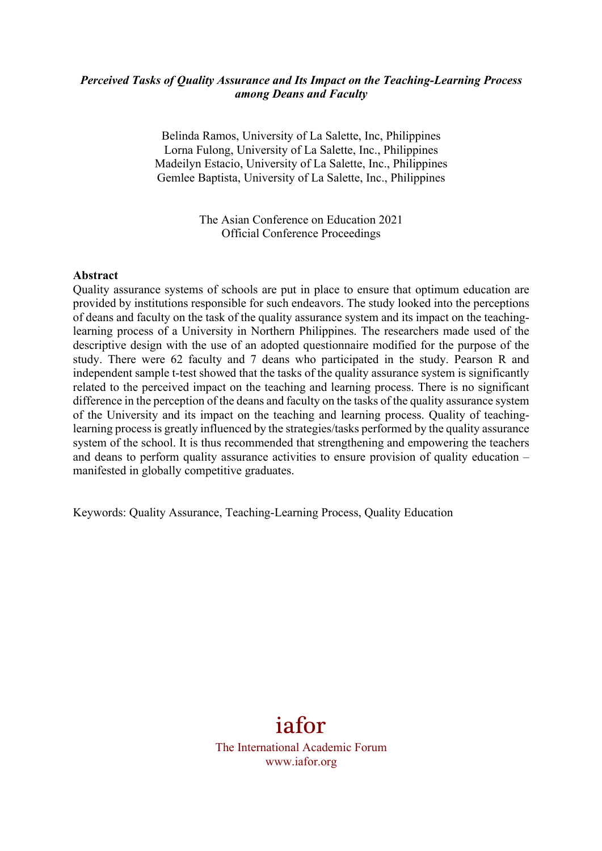## *Perceived Tasks of Quality Assurance and Its Impact on the Teaching-Learning Process among Deans and Faculty*

Belinda Ramos, University of La Salette, Inc, Philippines Lorna Fulong, University of La Salette, Inc., Philippines Madeilyn Estacio, University of La Salette, Inc., Philippines Gemlee Baptista, University of La Salette, Inc., Philippines

> The Asian Conference on Education 2021 Official Conference Proceedings

#### **Abstract**

Quality assurance systems of schools are put in place to ensure that optimum education are provided by institutions responsible for such endeavors. The study looked into the perceptions of deans and faculty on the task of the quality assurance system and its impact on the teachinglearning process of a University in Northern Philippines. The researchers made used of the descriptive design with the use of an adopted questionnaire modified for the purpose of the study. There were 62 faculty and 7 deans who participated in the study. Pearson R and independent sample t-test showed that the tasks of the quality assurance system is significantly related to the perceived impact on the teaching and learning process. There is no significant difference in the perception of the deans and faculty on the tasks of the quality assurance system of the University and its impact on the teaching and learning process. Quality of teachinglearning process is greatly influenced by the strategies/tasks performed by the quality assurance system of the school. It is thus recommended that strengthening and empowering the teachers and deans to perform quality assurance activities to ensure provision of quality education – manifested in globally competitive graduates.

Keywords: Quality Assurance, Teaching-Learning Process, Quality Education

# iafor

The International Academic Forum www.iafor.org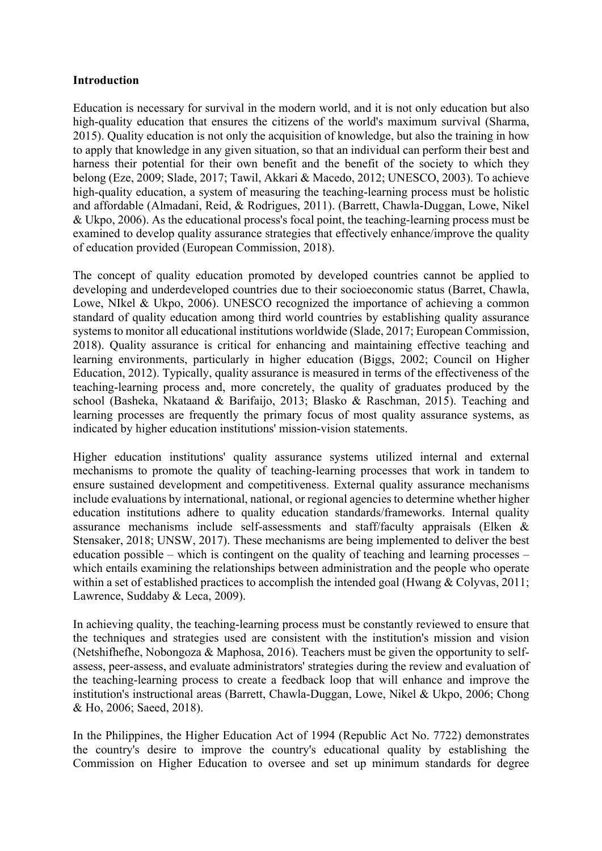## **Introduction**

Education is necessary for survival in the modern world, and it is not only education but also high-quality education that ensures the citizens of the world's maximum survival (Sharma, 2015). Quality education is not only the acquisition of knowledge, but also the training in how to apply that knowledge in any given situation, so that an individual can perform their best and harness their potential for their own benefit and the benefit of the society to which they belong (Eze, 2009; Slade, 2017; Tawil, Akkari & Macedo, 2012; UNESCO, 2003). To achieve high-quality education, a system of measuring the teaching-learning process must be holistic and affordable (Almadani, Reid, & Rodrigues, 2011). (Barrett, Chawla-Duggan, Lowe, Nikel & Ukpo, 2006). As the educational process's focal point, the teaching-learning process must be examined to develop quality assurance strategies that effectively enhance/improve the quality of education provided (European Commission, 2018).

The concept of quality education promoted by developed countries cannot be applied to developing and underdeveloped countries due to their socioeconomic status (Barret, Chawla, Lowe, NIkel & Ukpo, 2006). UNESCO recognized the importance of achieving a common standard of quality education among third world countries by establishing quality assurance systems to monitor all educational institutions worldwide (Slade, 2017; European Commission, 2018). Quality assurance is critical for enhancing and maintaining effective teaching and learning environments, particularly in higher education (Biggs, 2002; Council on Higher Education, 2012). Typically, quality assurance is measured in terms of the effectiveness of the teaching-learning process and, more concretely, the quality of graduates produced by the school (Basheka, Nkataand & Barifaijo, 2013; Blasko & Raschman, 2015). Teaching and learning processes are frequently the primary focus of most quality assurance systems, as indicated by higher education institutions' mission-vision statements.

Higher education institutions' quality assurance systems utilized internal and external mechanisms to promote the quality of teaching-learning processes that work in tandem to ensure sustained development and competitiveness. External quality assurance mechanisms include evaluations by international, national, or regional agencies to determine whether higher education institutions adhere to quality education standards/frameworks. Internal quality assurance mechanisms include self-assessments and staff/faculty appraisals (Elken & Stensaker, 2018; UNSW, 2017). These mechanisms are being implemented to deliver the best education possible – which is contingent on the quality of teaching and learning processes – which entails examining the relationships between administration and the people who operate within a set of established practices to accomplish the intended goal (Hwang & Colyvas, 2011; Lawrence, Suddaby & Leca, 2009).

In achieving quality, the teaching-learning process must be constantly reviewed to ensure that the techniques and strategies used are consistent with the institution's mission and vision (Netshifhefhe, Nobongoza & Maphosa, 2016). Teachers must be given the opportunity to selfassess, peer-assess, and evaluate administrators' strategies during the review and evaluation of the teaching-learning process to create a feedback loop that will enhance and improve the institution's instructional areas (Barrett, Chawla-Duggan, Lowe, Nikel & Ukpo, 2006; Chong & Ho, 2006; Saeed, 2018).

In the Philippines, the Higher Education Act of 1994 (Republic Act No. 7722) demonstrates the country's desire to improve the country's educational quality by establishing the Commission on Higher Education to oversee and set up minimum standards for degree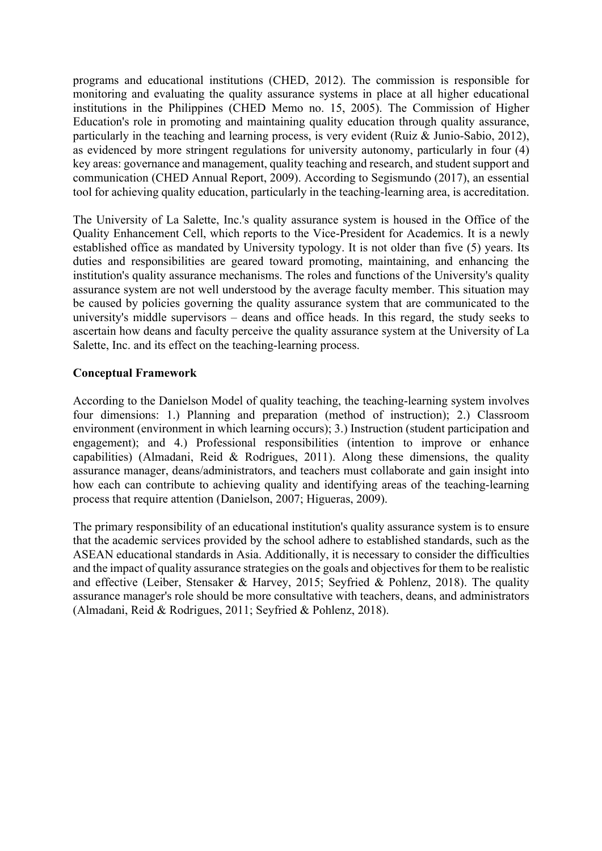programs and educational institutions (CHED, 2012). The commission is responsible for monitoring and evaluating the quality assurance systems in place at all higher educational institutions in the Philippines (CHED Memo no. 15, 2005). The Commission of Higher Education's role in promoting and maintaining quality education through quality assurance, particularly in the teaching and learning process, is very evident (Ruiz & Junio-Sabio, 2012), as evidenced by more stringent regulations for university autonomy, particularly in four (4) key areas: governance and management, quality teaching and research, and student support and communication (CHED Annual Report, 2009). According to Segismundo (2017), an essential tool for achieving quality education, particularly in the teaching-learning area, is accreditation.

The University of La Salette, Inc.'s quality assurance system is housed in the Office of the Quality Enhancement Cell, which reports to the Vice-President for Academics. It is a newly established office as mandated by University typology. It is not older than five (5) years. Its duties and responsibilities are geared toward promoting, maintaining, and enhancing the institution's quality assurance mechanisms. The roles and functions of the University's quality assurance system are not well understood by the average faculty member. This situation may be caused by policies governing the quality assurance system that are communicated to the university's middle supervisors – deans and office heads. In this regard, the study seeks to ascertain how deans and faculty perceive the quality assurance system at the University of La Salette, Inc. and its effect on the teaching-learning process.

## **Conceptual Framework**

According to the Danielson Model of quality teaching, the teaching-learning system involves four dimensions: 1.) Planning and preparation (method of instruction); 2.) Classroom environment (environment in which learning occurs); 3.) Instruction (student participation and engagement); and 4.) Professional responsibilities (intention to improve or enhance capabilities) (Almadani, Reid & Rodrigues, 2011). Along these dimensions, the quality assurance manager, deans/administrators, and teachers must collaborate and gain insight into how each can contribute to achieving quality and identifying areas of the teaching-learning process that require attention (Danielson, 2007; Higueras, 2009).

The primary responsibility of an educational institution's quality assurance system is to ensure that the academic services provided by the school adhere to established standards, such as the ASEAN educational standards in Asia. Additionally, it is necessary to consider the difficulties and the impact of quality assurance strategies on the goals and objectives for them to be realistic and effective (Leiber, Stensaker & Harvey, 2015; Seyfried & Pohlenz, 2018). The quality assurance manager's role should be more consultative with teachers, deans, and administrators (Almadani, Reid & Rodrigues, 2011; Seyfried & Pohlenz, 2018).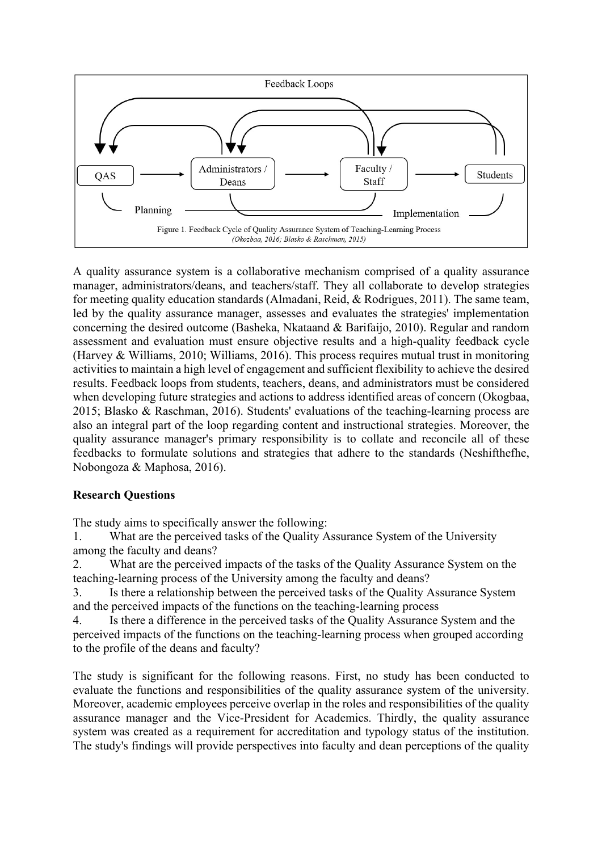

A quality assurance system is a collaborative mechanism comprised of a quality assurance manager, administrators/deans, and teachers/staff. They all collaborate to develop strategies for meeting quality education standards (Almadani, Reid, & Rodrigues, 2011). The same team, led by the quality assurance manager, assesses and evaluates the strategies' implementation concerning the desired outcome (Basheka, Nkataand & Barifaijo, 2010). Regular and random assessment and evaluation must ensure objective results and a high-quality feedback cycle (Harvey & Williams, 2010; Williams, 2016). This process requires mutual trust in monitoring activities to maintain a high level of engagement and sufficient flexibility to achieve the desired results. Feedback loops from students, teachers, deans, and administrators must be considered when developing future strategies and actions to address identified areas of concern (Okogbaa, 2015; Blasko & Raschman, 2016). Students' evaluations of the teaching-learning process are also an integral part of the loop regarding content and instructional strategies. Moreover, the quality assurance manager's primary responsibility is to collate and reconcile all of these feedbacks to formulate solutions and strategies that adhere to the standards (Neshifthefhe, Nobongoza & Maphosa, 2016).

# **Research Questions**

The study aims to specifically answer the following:

1. What are the perceived tasks of the Quality Assurance System of the University among the faculty and deans?

2. What are the perceived impacts of the tasks of the Quality Assurance System on the teaching-learning process of the University among the faculty and deans?

3. Is there a relationship between the perceived tasks of the Quality Assurance System and the perceived impacts of the functions on the teaching-learning process

4. Is there a difference in the perceived tasks of the Quality Assurance System and the perceived impacts of the functions on the teaching-learning process when grouped according to the profile of the deans and faculty?

The study is significant for the following reasons. First, no study has been conducted to evaluate the functions and responsibilities of the quality assurance system of the university. Moreover, academic employees perceive overlap in the roles and responsibilities of the quality assurance manager and the Vice-President for Academics. Thirdly, the quality assurance system was created as a requirement for accreditation and typology status of the institution. The study's findings will provide perspectives into faculty and dean perceptions of the quality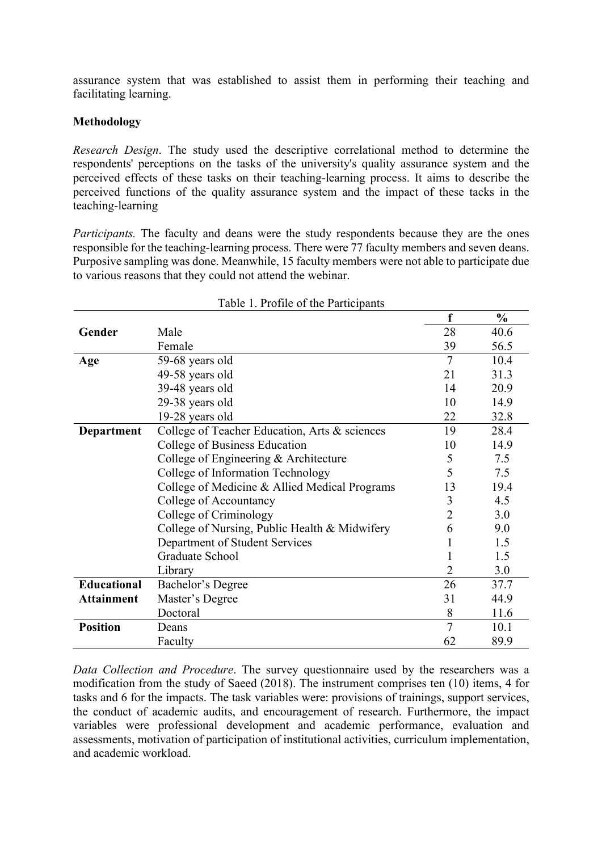assurance system that was established to assist them in performing their teaching and facilitating learning.

## **Methodology**

*Research Design*. The study used the descriptive correlational method to determine the respondents' perceptions on the tasks of the university's quality assurance system and the perceived effects of these tasks on their teaching-learning process. It aims to describe the perceived functions of the quality assurance system and the impact of these tacks in the teaching-learning

*Participants.* The faculty and deans were the study respondents because they are the ones responsible for the teaching-learning process. There were 77 faculty members and seven deans. Purposive sampling was done. Meanwhile, 15 faculty members were not able to participate due to various reasons that they could not attend the webinar.

|                   |                                               | f              | $\frac{0}{0}$ |
|-------------------|-----------------------------------------------|----------------|---------------|
| Gender            | Male                                          | 28             | 40.6          |
|                   | Female                                        | 39             | 56.5          |
| Age               | 59-68 years old                               | $\overline{7}$ | 10.4          |
|                   | 49-58 years old                               | 21             | 31.3          |
|                   | 39-48 years old                               | 14             | 20.9          |
|                   | 29-38 years old                               | 10             | 14.9          |
|                   | 19-28 years old                               | 22             | 32.8          |
| <b>Department</b> | College of Teacher Education, Arts & sciences | 19             | 28.4          |
|                   | College of Business Education                 | 10             | 14.9          |
|                   | College of Engineering & Architecture         | 5              | 7.5           |
|                   | College of Information Technology             | 5              | 7.5           |
|                   | College of Medicine & Allied Medical Programs | 13             | 19.4          |
|                   | College of Accountancy                        | 3              | 4.5           |
|                   | College of Criminology                        | $\overline{2}$ | 3.0           |
|                   | College of Nursing, Public Health & Midwifery | 6              | 9.0           |
|                   | Department of Student Services                |                | 1.5           |
|                   | Graduate School                               |                | 1.5           |
|                   | Library                                       | 2              | 3.0           |
| Educational       | Bachelor's Degree                             | 26             | 37.7          |
| <b>Attainment</b> | Master's Degree                               | 31             | 44.9          |
|                   | Doctoral                                      | 8              | 11.6          |
| <b>Position</b>   | Deans                                         | $\overline{7}$ | 10.1          |
|                   | Faculty                                       | 62             | 89.9          |

Table 1. Profile of the Participants

*Data Collection and Procedure*. The survey questionnaire used by the researchers was a modification from the study of Saeed (2018). The instrument comprises ten (10) items, 4 for tasks and 6 for the impacts. The task variables were: provisions of trainings, support services, the conduct of academic audits, and encouragement of research. Furthermore, the impact variables were professional development and academic performance, evaluation and assessments, motivation of participation of institutional activities, curriculum implementation, and academic workload.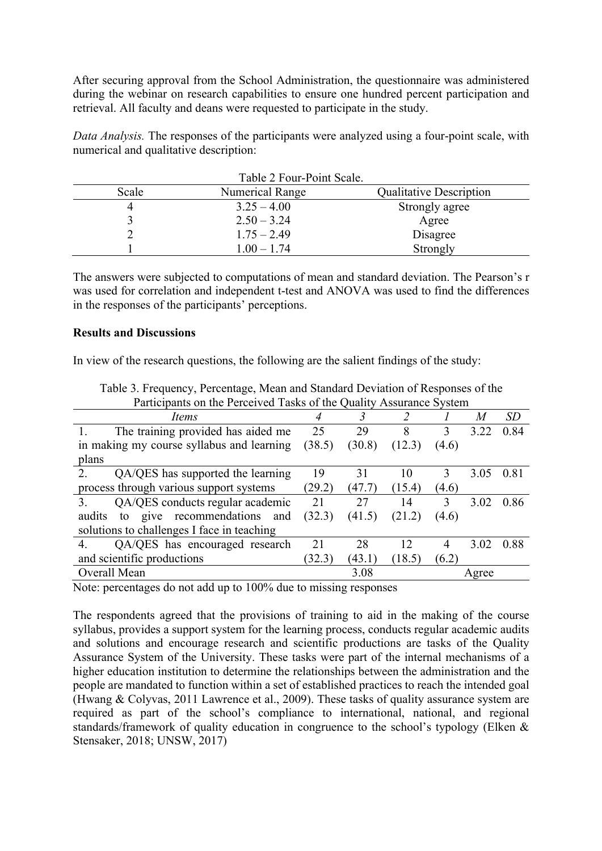After securing approval from the School Administration, the questionnaire was administered during the webinar on research capabilities to ensure one hundred percent participation and retrieval. All faculty and deans were requested to participate in the study.

*Data Analysis.* The responses of the participants were analyzed using a four-point scale, with numerical and qualitative description:

|       | Table 2 Four-Point Scale. |                                |
|-------|---------------------------|--------------------------------|
| Scale | Numerical Range           | <b>Qualitative Description</b> |
|       | $3.25 - 4.00$             | Strongly agree                 |
|       | $2.50 - 3.24$             | Agree                          |
|       | $1.75 - 2.49$             | Disagree                       |
|       | $1.00 - 1.74$             | Strongly                       |

The answers were subjected to computations of mean and standard deviation. The Pearson's r was used for correlation and independent t-test and ANOVA was used to find the differences in the responses of the participants' perceptions.

## **Results and Discussions**

In view of the research questions, the following are the salient findings of the study:

| Participants on the Perceived Tasks of the Quality Assurance System |        |        |        |       |       |           |
|---------------------------------------------------------------------|--------|--------|--------|-------|-------|-----------|
| Items                                                               |        |        |        |       | M     | <i>SD</i> |
| The training provided has aided me                                  | 25     | 29     | 8      |       | 3.22  | 0.84      |
| in making my course syllabus and learning                           | (38.5) | (30.8) | (12.3) | (4.6) |       |           |
| plans                                                               |        |        |        |       |       |           |
| QA/QES has supported the learning<br>2.                             | 19     | 31     | 10     | 3     | 3.05  | 0.81      |
| process through various support systems                             | (29.2) | (47.7) | (15.4) | (4.6) |       |           |
| QA/QES conducts regular academic<br>3                               | 21     | 27     | 14     | 3     | 3.02  | 0.86      |
| give recommendations<br>audits<br>and<br>to                         | (32.3) | (41.5) | (21.2) | (4.6) |       |           |
| solutions to challenges I face in teaching                          |        |        |        |       |       |           |
| QA/QES has encouraged research<br>4                                 | 21     | 28     | 12     |       | 3.02  | 0.88      |
| and scientific productions                                          | (32.3) | (43.1) | (18.5) | (6.2) |       |           |
| Overall Mean                                                        |        | 3.08   |        |       | Agree |           |

Table 3. Frequency, Percentage, Mean and Standard Deviation of Responses of the Participants on the Perceived Tasks of the Quality Assurance System

Note: percentages do not add up to 100% due to missing responses

The respondents agreed that the provisions of training to aid in the making of the course syllabus, provides a support system for the learning process, conducts regular academic audits and solutions and encourage research and scientific productions are tasks of the Quality Assurance System of the University. These tasks were part of the internal mechanisms of a higher education institution to determine the relationships between the administration and the people are mandated to function within a set of established practices to reach the intended goal (Hwang & Colyvas, 2011 Lawrence et al., 2009). These tasks of quality assurance system are required as part of the school's compliance to international, national, and regional standards/framework of quality education in congruence to the school's typology (Elken & Stensaker, 2018; UNSW, 2017)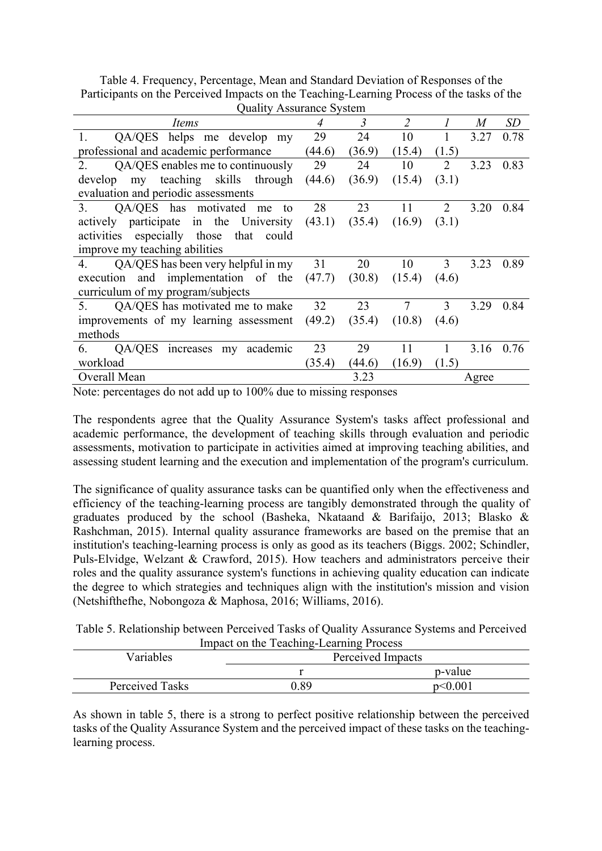Table 4. Frequency, Percentage, Mean and Standard Deviation of Responses of the Participants on the Perceived Impacts on the Teaching-Learning Process of the tasks of the Quality Assurance System

| Quality Assurance System                           |        |        |                |                             |                  |      |
|----------------------------------------------------|--------|--------|----------------|-----------------------------|------------------|------|
| Items                                              | 4      | 3      | $\overline{2}$ |                             | $\boldsymbol{M}$ | SD   |
| QA/QES helps me develop my<br>1.                   | 29     | 24     | 10             |                             | 3.27             | 0.78 |
| professional and academic performance              | (44.6) | (36.9) | (15.4)         | (1.5)                       |                  |      |
| QA/QES enables me to continuously<br>2.            | 29     | 24     | 10             | 2                           | 3.23             | 0.83 |
| my teaching skills through<br>develop              | (44.6) | (36.9) | (15.4)         | (3.1)                       |                  |      |
| evaluation and periodic assessments                |        |        |                |                             |                  |      |
| QA/QES has motivated<br>3 <sub>1</sub><br>me<br>to | 28     | 23     | 11             | $\mathcal{D}_{\mathcal{L}}$ | 3.20             | 0.84 |
| actively participate in the University             | (43.1) | (35.4) | (16.9)         | (3.1)                       |                  |      |
| activities especially those<br>that<br>could       |        |        |                |                             |                  |      |
| improve my teaching abilities                      |        |        |                |                             |                  |      |
| QA/QES has been very helpful in my<br>4.           | 31     | 20     | 10             | 3                           | 3.23             | 0.89 |
| execution and implementation of the                | (47.7) | (30.8) | (15.4)         | (4.6)                       |                  |      |
| curriculum of my program/subjects                  |        |        |                |                             |                  |      |
| QA/QES has motivated me to make<br>5.              | 32     | 23     | 7              | 3                           | 3.29             | 0.84 |
| improvements of my learning assessment             | (49.2) | (35.4) | (10.8)         | (4.6)                       |                  |      |
| methods                                            |        |        |                |                             |                  |      |
| QA/QES<br>academic<br>6.<br>increases my           | 23     | 29     | 11             |                             | 3.16             | 0.76 |
| workload                                           | (35.4) | (44.6) | (16.9)         | (1.5)                       |                  |      |
| Overall Mean                                       |        | 3.23   |                |                             | Agree            |      |

Note: percentages do not add up to 100% due to missing responses

The respondents agree that the Quality Assurance System's tasks affect professional and academic performance, the development of teaching skills through evaluation and periodic assessments, motivation to participate in activities aimed at improving teaching abilities, and assessing student learning and the execution and implementation of the program's curriculum.

The significance of quality assurance tasks can be quantified only when the effectiveness and efficiency of the teaching-learning process are tangibly demonstrated through the quality of graduates produced by the school (Basheka, Nkataand & Barifaijo, 2013; Blasko & Rashchman, 2015). Internal quality assurance frameworks are based on the premise that an institution's teaching-learning process is only as good as its teachers (Biggs. 2002; Schindler, Puls-Elvidge, Welzant & Crawford, 2015). How teachers and administrators perceive their roles and the quality assurance system's functions in achieving quality education can indicate the degree to which strategies and techniques align with the institution's mission and vision (Netshifthefhe, Nobongoza & Maphosa, 2016; Williams, 2016).

Table 5. Relationship between Perceived Tasks of Quality Assurance Systems and Perceived Impact on the Teaching-Learning Process

| Variables       | Perceived Impacts |               |
|-----------------|-------------------|---------------|
|                 |                   | p-value       |
| Perceived Tasks | O 89              | $n \leq 0.00$ |

As shown in table 5, there is a strong to perfect positive relationship between the perceived tasks of the Quality Assurance System and the perceived impact of these tasks on the teachinglearning process.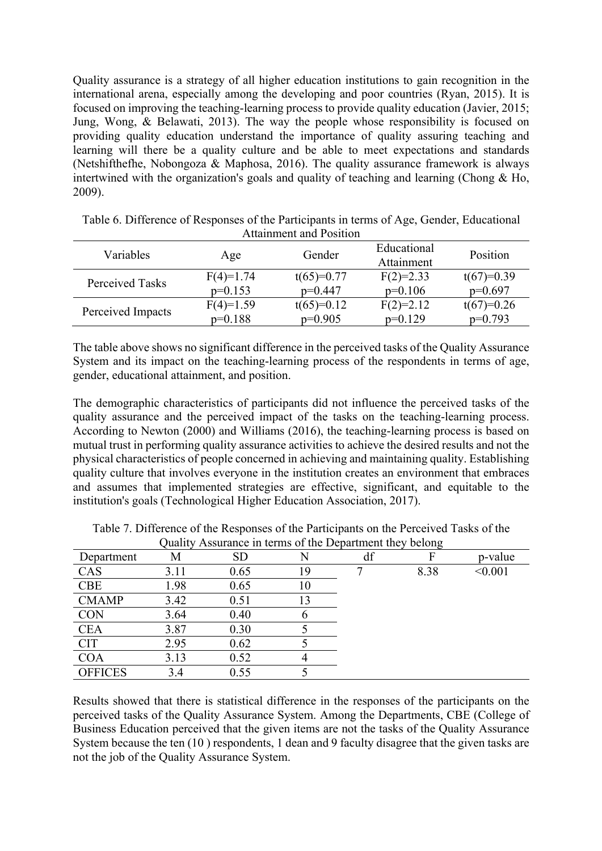Quality assurance is a strategy of all higher education institutions to gain recognition in the international arena, especially among the developing and poor countries (Ryan, 2015). It is focused on improving the teaching-learning process to provide quality education (Javier, 2015; Jung, Wong, & Belawati, 2013). The way the people whose responsibility is focused on providing quality education understand the importance of quality assuring teaching and learning will there be a quality culture and be able to meet expectations and standards (Netshifthefhe, Nobongoza & Maphosa, 2016). The quality assurance framework is always intertwined with the organization's goals and quality of teaching and learning (Chong & Ho, 2009).

| Variables         | Age         | Gender       | Educational<br>Attainment | Position     |  |  |  |
|-------------------|-------------|--------------|---------------------------|--------------|--|--|--|
| Perceived Tasks   | $F(4)=1.74$ | $t(65)=0.77$ | $F(2)=2.33$               | $t(67)=0.39$ |  |  |  |
|                   | $p=0.153$   | $p=0.447$    | $p=0.106$                 | $p=0.697$    |  |  |  |
|                   | $F(4)=1.59$ | $t(65)=0.12$ | $F(2)=2.12$               | $t(67)=0.26$ |  |  |  |
| Perceived Impacts | $p=0.188$   | $p=0.905$    | $p=0.129$                 | $p=0.793$    |  |  |  |

| Table 6. Difference of Responses of the Participants in terms of Age, Gender, Educational |                                |  |  |
|-------------------------------------------------------------------------------------------|--------------------------------|--|--|
|                                                                                           | <b>Attainment and Position</b> |  |  |

The table above shows no significant difference in the perceived tasks of the Quality Assurance System and its impact on the teaching-learning process of the respondents in terms of age, gender, educational attainment, and position.

The demographic characteristics of participants did not influence the perceived tasks of the quality assurance and the perceived impact of the tasks on the teaching-learning process. According to Newton (2000) and Williams (2016), the teaching-learning process is based on mutual trust in performing quality assurance activities to achieve the desired results and not the physical characteristics of people concerned in achieving and maintaining quality. Establishing quality culture that involves everyone in the institution creates an environment that embraces and assumes that implemented strategies are effective, significant, and equitable to the institution's goals (Technological Higher Education Association, 2017).

| Department     | М    | <b>SD</b> |    | df |      | p-value |
|----------------|------|-----------|----|----|------|---------|
| CAS            | 3.11 | 0.65      | 19 |    | 8.38 | < 0.001 |
| <b>CBE</b>     | 1.98 | 0.65      | 10 |    |      |         |
| <b>CMAMP</b>   | 3.42 | 0.51      |    |    |      |         |
| <b>CON</b>     | 3.64 | 0.40      |    |    |      |         |
| <b>CEA</b>     | 3.87 | 0.30      |    |    |      |         |
| <b>CIT</b>     | 2.95 | 0.62      |    |    |      |         |
| COA            | 3.13 | 0.52      |    |    |      |         |
| <b>OFFICES</b> | 3.4  | 0.55      |    |    |      |         |

Table 7. Difference of the Responses of the Participants on the Perceived Tasks of the Quality Assurance in terms of the Department they belong

Results showed that there is statistical difference in the responses of the participants on the perceived tasks of the Quality Assurance System. Among the Departments, CBE (College of Business Education perceived that the given items are not the tasks of the Quality Assurance System because the ten (10 ) respondents, 1 dean and 9 faculty disagree that the given tasks are not the job of the Quality Assurance System.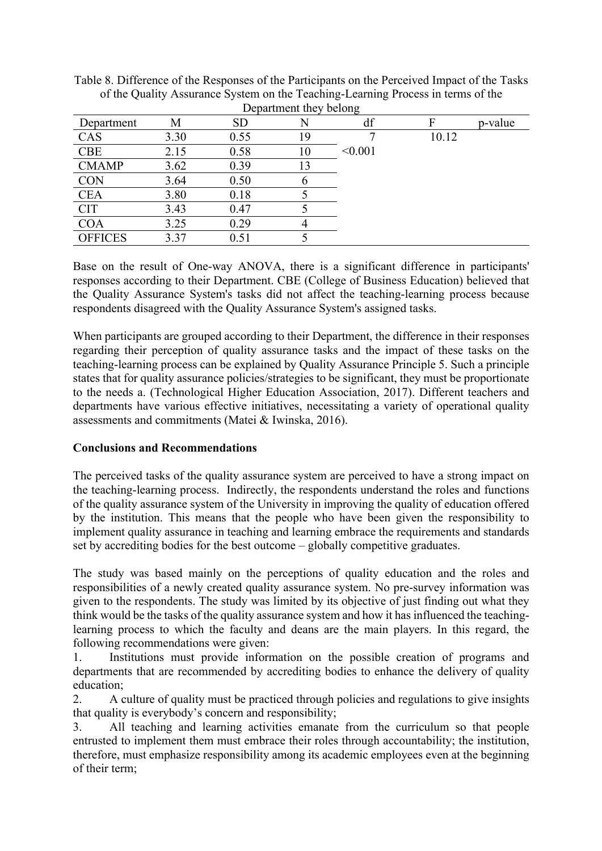|                | Department they belong |           |    |         |       |         |  |  |
|----------------|------------------------|-----------|----|---------|-------|---------|--|--|
| Department     | M                      | <b>SD</b> |    | df      |       | p-value |  |  |
| CAS            | 3.30                   | 0.55      | 19 |         | 10.12 |         |  |  |
| <b>CBE</b>     | 2.15                   | 0.58      | 10 | < 0.001 |       |         |  |  |
| <b>CMAMP</b>   | 3.62                   | 0.39      | 13 |         |       |         |  |  |
| <b>CON</b>     | 3.64                   | 0.50      | O  |         |       |         |  |  |
| <b>CEA</b>     | 3.80                   | 0.18      |    |         |       |         |  |  |
| <b>CIT</b>     | 3.43                   | 0.47      |    |         |       |         |  |  |
| <b>COA</b>     | 3.25                   | 0.29      |    |         |       |         |  |  |
| <b>OFFICES</b> | 3.37                   | 0.51      |    |         |       |         |  |  |

Table 8. Difference of the Responses of the Participants on the Perceived Impact of the Tasks of the Quality Assurance System on the Teaching-Learning Process in terms of the Department they belong

Base on the result of One-way ANOVA, there is a significant difference in participants' responses according to their Department. CBE (College of Business Education) believed that the Quality Assurance System's tasks did not affect the teaching-learning process because respondents disagreed with the Quality Assurance System's assigned tasks.

When participants are grouped according to their Department, the difference in their responses regarding their perception of quality assurance tasks and the impact of these tasks on the teaching-learning process can be explained by Quality Assurance Principle 5. Such a principle states that for quality assurance policies/strategies to be significant, they must be proportionate to the needs a. (Technological Higher Education Association, 2017). Different teachers and departments have various effective initiatives, necessitating a variety of operational quality assessments and commitments (Matei & Iwinska, 2016).

## **Conclusions and Recommendations**

The perceived tasks of the quality assurance system are perceived to have a strong impact on the teaching-learning process. Indirectly, the respondents understand the roles and functions of the quality assurance system of the University in improving the quality of education offered by the institution. This means that the people who have been given the responsibility to implement quality assurance in teaching and learning embrace the requirements and standards set by accrediting bodies for the best outcome – globally competitive graduates.

The study was based mainly on the perceptions of quality education and the roles and responsibilities of a newly created quality assurance system. No pre-survey information was given to the respondents. The study was limited by its objective of just finding out what they think would be the tasks of the quality assurance system and how it has influenced the teachinglearning process to which the faculty and deans are the main players. In this regard, the following recommendations were given:

1. Institutions must provide information on the possible creation of programs and departments that are recommended by accrediting bodies to enhance the delivery of quality education;

2. A culture of quality must be practiced through policies and regulations to give insights that quality is everybody's concern and responsibility;

3. All teaching and learning activities emanate from the curriculum so that people entrusted to implement them must embrace their roles through accountability; the institution, therefore, must emphasize responsibility among its academic employees even at the beginning of their term;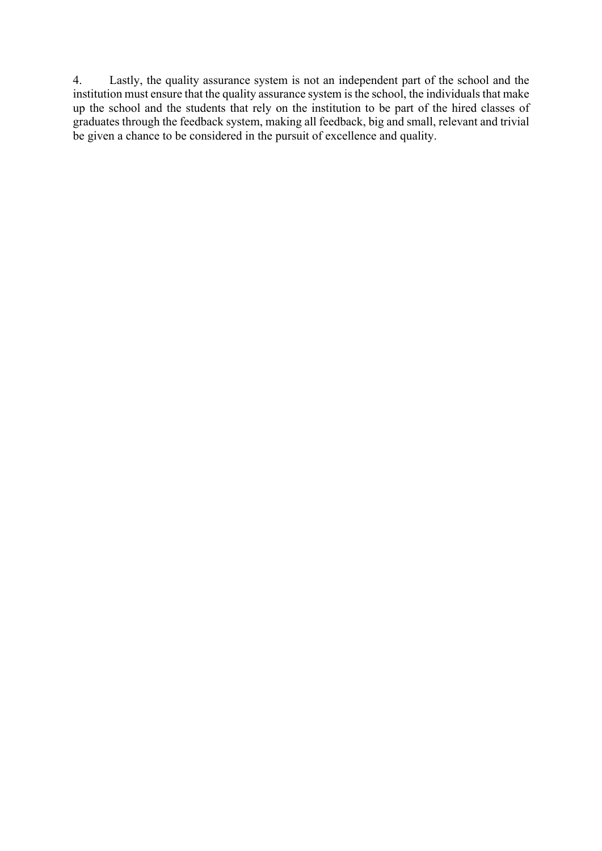4. Lastly, the quality assurance system is not an independent part of the school and the institution must ensure that the quality assurance system is the school, the individuals that make up the school and the students that rely on the institution to be part of the hired classes of graduates through the feedback system, making all feedback, big and small, relevant and trivial be given a chance to be considered in the pursuit of excellence and quality.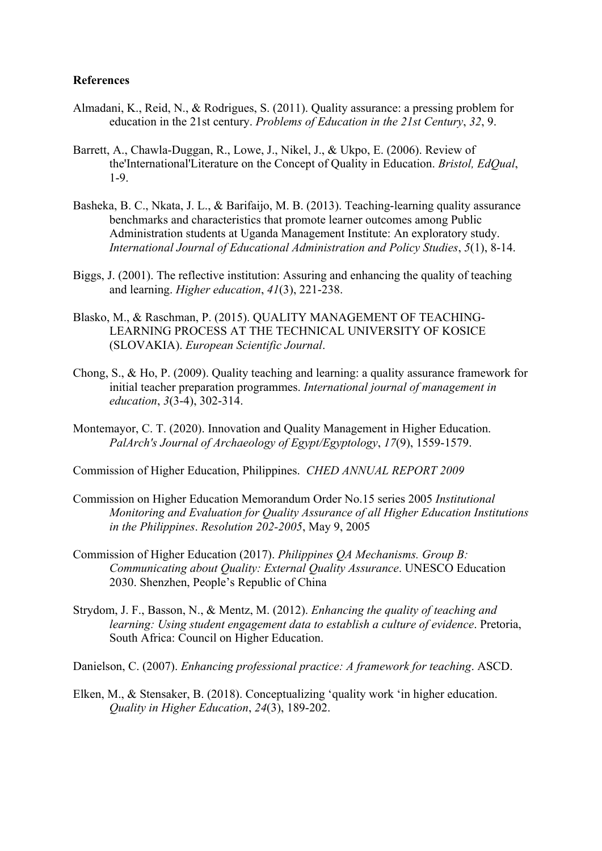### **References**

- Almadani, K., Reid, N., & Rodrigues, S. (2011). Quality assurance: a pressing problem for education in the 21st century. *Problems of Education in the 21st Century*, *32*, 9.
- Barrett, A., Chawla-Duggan, R., Lowe, J., Nikel, J., & Ukpo, E. (2006). Review of the'International'Literature on the Concept of Quality in Education. *Bristol, EdQual*, 1-9.
- Basheka, B. C., Nkata, J. L., & Barifaijo, M. B. (2013). Teaching-learning quality assurance benchmarks and characteristics that promote learner outcomes among Public Administration students at Uganda Management Institute: An exploratory study. *International Journal of Educational Administration and Policy Studies*, *5*(1), 8-14.
- Biggs, J. (2001). The reflective institution: Assuring and enhancing the quality of teaching and learning. *Higher education*, *41*(3), 221-238.
- Blasko, M., & Raschman, P. (2015). QUALITY MANAGEMENT OF TEACHING-LEARNING PROCESS AT THE TECHNICAL UNIVERSITY OF KOSICE (SLOVAKIA). *European Scientific Journal*.
- Chong, S., & Ho, P. (2009). Quality teaching and learning: a quality assurance framework for initial teacher preparation programmes. *International journal of management in education*, *3*(3-4), 302-314.
- Montemayor, C. T. (2020). Innovation and Quality Management in Higher Education. *PalArch's Journal of Archaeology of Egypt/Egyptology*, *17*(9), 1559-1579.
- Commission of Higher Education, Philippines. *CHED ANNUAL REPORT 2009*
- Commission on Higher Education Memorandum Order No.15 series 2005 *Institutional Monitoring and Evaluation for Quality Assurance of all Higher Education Institutions in the Philippines*. *Resolution 202-2005*, May 9, 2005
- Commission of Higher Education (2017). *Philippines QA Mechanisms. Group B: Communicating about Quality: External Quality Assurance*. UNESCO Education 2030. Shenzhen, People's Republic of China
- Strydom, J. F., Basson, N., & Mentz, M. (2012). *Enhancing the quality of teaching and learning: Using student engagement data to establish a culture of evidence*. Pretoria, South Africa: Council on Higher Education.

Danielson, C. (2007). *Enhancing professional practice: A framework for teaching*. ASCD.

Elken, M., & Stensaker, B. (2018). Conceptualizing 'quality work 'in higher education. *Quality in Higher Education*, *24*(3), 189-202.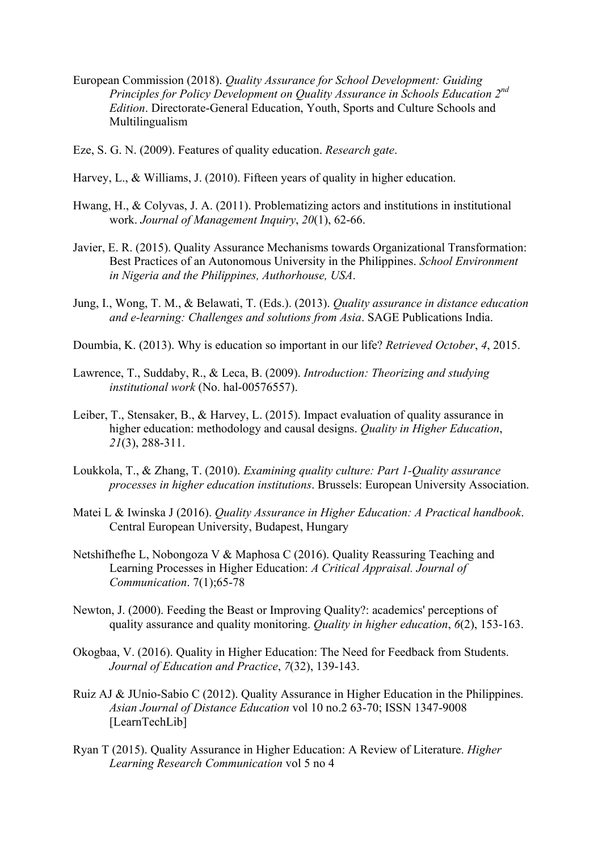- European Commission (2018). *Quality Assurance for School Development: Guiding Principles for Policy Development on Quality Assurance in Schools Education 2nd Edition*. Directorate-General Education, Youth, Sports and Culture Schools and Multilingualism
- Eze, S. G. N. (2009). Features of quality education. *Research gate*.
- Harvey, L., & Williams, J. (2010). Fifteen years of quality in higher education.
- Hwang, H., & Colyvas, J. A. (2011). Problematizing actors and institutions in institutional work. *Journal of Management Inquiry*, *20*(1), 62-66.
- Javier, E. R. (2015). Quality Assurance Mechanisms towards Organizational Transformation: Best Practices of an Autonomous University in the Philippines. *School Environment in Nigeria and the Philippines, Authorhouse, USA*.
- Jung, I., Wong, T. M., & Belawati, T. (Eds.). (2013). *Quality assurance in distance education and e-learning: Challenges and solutions from Asia*. SAGE Publications India.
- Doumbia, K. (2013). Why is education so important in our life? *Retrieved October*, *4*, 2015.
- Lawrence, T., Suddaby, R., & Leca, B. (2009). *Introduction: Theorizing and studying institutional work* (No. hal-00576557).
- Leiber, T., Stensaker, B., & Harvey, L. (2015). Impact evaluation of quality assurance in higher education: methodology and causal designs. *Quality in Higher Education*, *21*(3), 288-311.
- Loukkola, T., & Zhang, T. (2010). *Examining quality culture: Part 1-Quality assurance processes in higher education institutions*. Brussels: European University Association.
- Matei L & Iwinska J (2016). *Quality Assurance in Higher Education: A Practical handbook*. Central European University, Budapest, Hungary
- Netshifhefhe L, Nobongoza V & Maphosa C (2016). Quality Reassuring Teaching and Learning Processes in Higher Education: *A Critical Appraisal. Journal of Communication*. 7(1);65-78
- Newton, J. (2000). Feeding the Beast or Improving Quality?: academics' perceptions of quality assurance and quality monitoring. *Quality in higher education*, *6*(2), 153-163.
- Okogbaa, V. (2016). Quality in Higher Education: The Need for Feedback from Students. *Journal of Education and Practice*, *7*(32), 139-143.
- Ruiz AJ & JUnio-Sabio C (2012). Quality Assurance in Higher Education in the Philippines. *Asian Journal of Distance Education* vol 10 no.2 63-70; ISSN 1347-9008 [LearnTechLib]
- Ryan T (2015). Quality Assurance in Higher Education: A Review of Literature. *Higher Learning Research Communication* vol 5 no 4